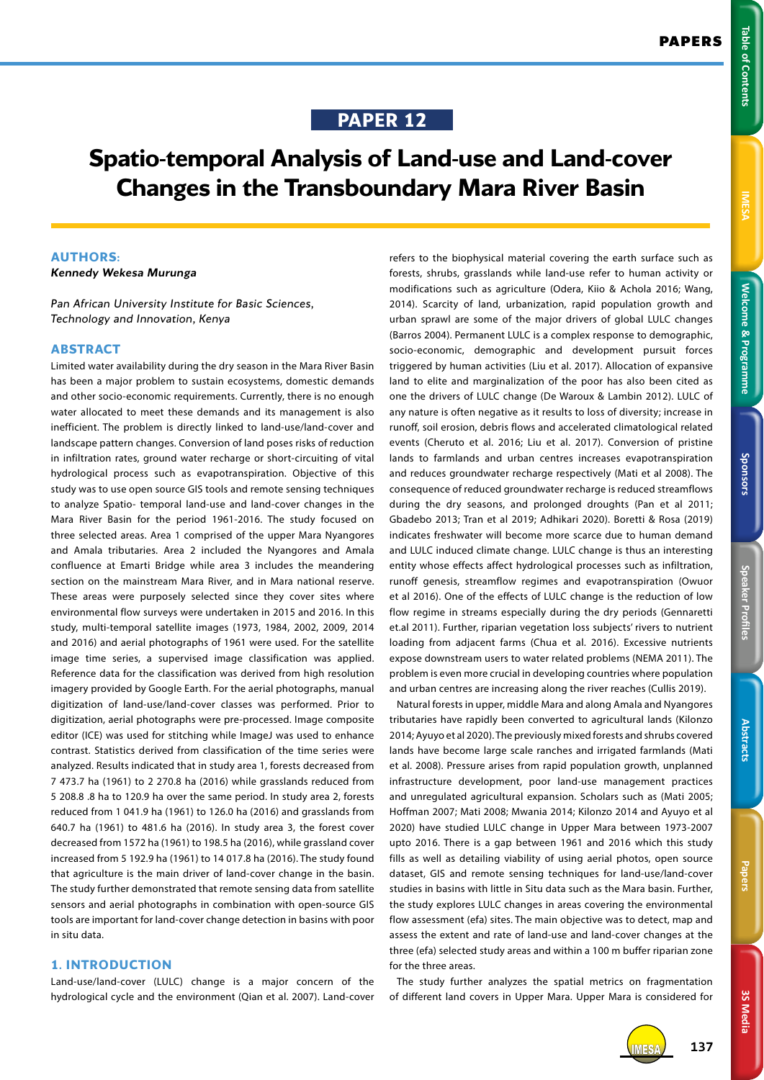# **IMESS**

3S Media **3S Media**

# **PAPER 12**

# **Spatio-temporal Analysis of Land-use and Land-cover Changes in the Transboundary Mara River Basin**

#### **AUTHORS:**

*Kennedy Wekesa Murunga*

*Pan African University Institute for Basic Sciences, Technology and Innovation, Kenya*

#### **ABSTRACT**

Limited water availability during the dry season in the Mara River Basin has been a major problem to sustain ecosystems, domestic demands and other socio-economic requirements. Currently, there is no enough water allocated to meet these demands and its management is also inefficient. The problem is directly linked to land-use/land-cover and landscape pattern changes. Conversion of land poses risks of reduction in infiltration rates, ground water recharge or short-circuiting of vital hydrological process such as evapotranspiration. Objective of this study was to use open source GIS tools and remote sensing techniques to analyze Spatio- temporal land-use and land-cover changes in the Mara River Basin for the period 1961-2016. The study focused on three selected areas. Area 1 comprised of the upper Mara Nyangores and Amala tributaries. Area 2 included the Nyangores and Amala confluence at Emarti Bridge while area 3 includes the meandering section on the mainstream Mara River, and in Mara national reserve. These areas were purposely selected since they cover sites where environmental flow surveys were undertaken in 2015 and 2016. In this study, multi-temporal satellite images (1973, 1984, 2002, 2009, 2014 and 2016) and aerial photographs of 1961 were used. For the satellite image time series, a supervised image classification was applied. Reference data for the classification was derived from high resolution imagery provided by Google Earth. For the aerial photographs, manual digitization of land-use/land-cover classes was performed. Prior to digitization, aerial photographs were pre-processed. Image composite editor (ICE) was used for stitching while ImageJ was used to enhance contrast. Statistics derived from classification of the time series were analyzed. Results indicated that in study area 1, forests decreased from 7 473.7 ha (1961) to 2 270.8 ha (2016) while grasslands reduced from 5 208.8 .8 ha to 120.9 ha over the same period. In study area 2, forests reduced from 1 041.9 ha (1961) to 126.0 ha (2016) and grasslands from 640.7 ha (1961) to 481.6 ha (2016). In study area 3, the forest cover decreased from 1572 ha (1961) to 198.5 ha (2016), while grassland cover increased from 5 192.9 ha (1961) to 14 017.8 ha (2016). The study found that agriculture is the main driver of land-cover change in the basin. The study further demonstrated that remote sensing data from satellite sensors and aerial photographs in combination with open-source GIS tools are important for land-cover change detection in basins with poor in situ data.

# **1. INTRODUCTION**

Land-use/land-cover (LULC) change is a major concern of the hydrological cycle and the environment (Qian et al. 2007). Land-cover

refers to the biophysical material covering the earth surface such as forests, shrubs, grasslands while land-use refer to human activity or modifications such as agriculture (Odera, Kiio & Achola 2016; Wang, 2014). Scarcity of land, urbanization, rapid population growth and urban sprawl are some of the major drivers of global LULC changes (Barros 2004). Permanent LULC is a complex response to demographic, socio-economic, demographic and development pursuit forces triggered by human activities (Liu et al. 2017). Allocation of expansive land to elite and marginalization of the poor has also been cited as one the drivers of LULC change (De Waroux & Lambin 2012). LULC of any nature is often negative as it results to loss of diversity; increase in runoff, soil erosion, debris flows and accelerated climatological related events (Cheruto et al. 2016; Liu et al. 2017). Conversion of pristine lands to farmlands and urban centres increases evapotranspiration and reduces groundwater recharge respectively (Mati et al 2008). The consequence of reduced groundwater recharge is reduced streamflows during the dry seasons, and prolonged droughts (Pan et al 2011; Gbadebo 2013; Tran et al 2019; Adhikari 2020). Boretti & Rosa (2019) indicates freshwater will become more scarce due to human demand and LULC induced climate change. LULC change is thus an interesting entity whose effects affect hydrological processes such as infiltration, runoff genesis, streamflow regimes and evapotranspiration (Owuor et al 2016). One of the effects of LULC change is the reduction of low flow regime in streams especially during the dry periods (Gennaretti et.al 2011). Further, riparian vegetation loss subjects' rivers to nutrient loading from adjacent farms (Chua et al. 2016). Excessive nutrients expose downstream users to water related problems (NEMA 2011). The problem is even more crucial in developing countries where population and urban centres are increasing along the river reaches (Cullis 2019).

Natural forests in upper, middle Mara and along Amala and Nyangores tributaries have rapidly been converted to agricultural lands (Kilonzo 2014; Ayuyo et al 2020). The previously mixed forests and shrubs covered lands have become large scale ranches and irrigated farmlands (Mati et al. 2008). Pressure arises from rapid population growth, unplanned infrastructure development, poor land-use management practices and unregulated agricultural expansion. Scholars such as (Mati 2005; Hoffman 2007; Mati 2008; Mwania 2014; Kilonzo 2014 and Ayuyo et al 2020) have studied LULC change in Upper Mara between 1973-2007 upto 2016. There is a gap between 1961 and 2016 which this study fills as well as detailing viability of using aerial photos, open source dataset, GIS and remote sensing techniques for land-use/land-cover studies in basins with little in Situ data such as the Mara basin. Further, the study explores LULC changes in areas covering the environmental flow assessment (efa) sites. The main objective was to detect, map and assess the extent and rate of land-use and land-cover changes at the three (efa) selected study areas and within a 100 m buffer riparian zone for the three areas.

The study further analyzes the spatial metrics on fragmentation of different land covers in Upper Mara. Upper Mara is considered for



IMESA **137**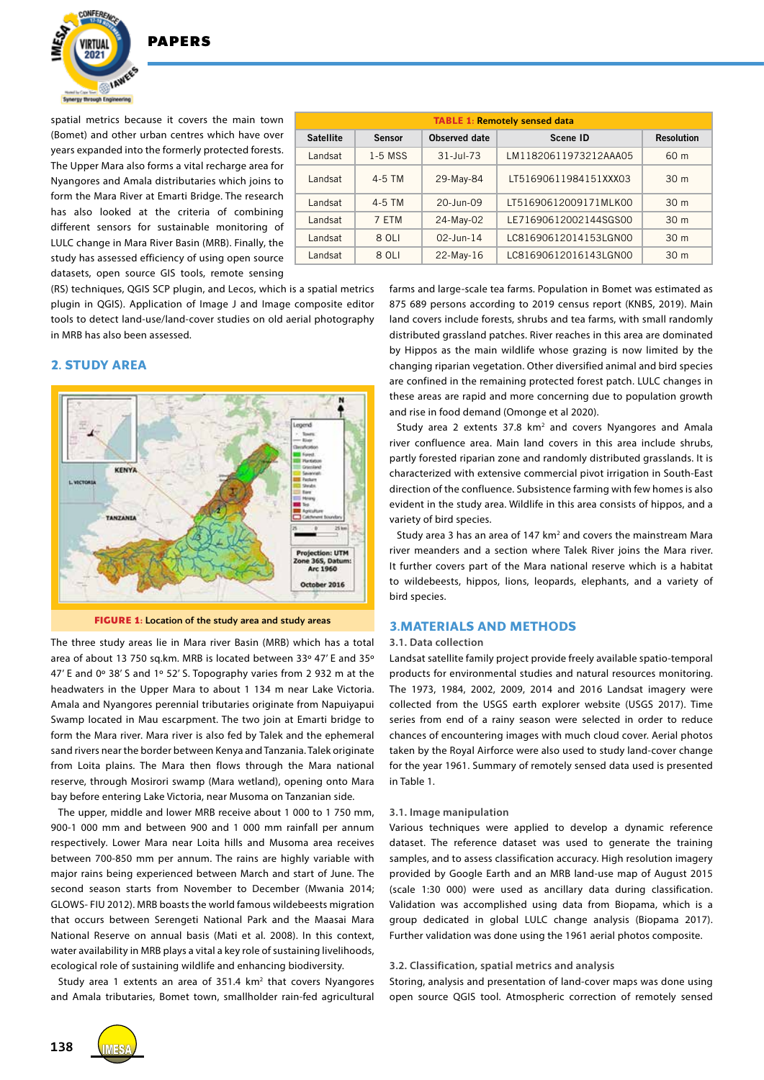

spatial metrics because it covers the main town (Bomet) and other urban centres which have over years expanded into the formerly protected forests. The Upper Mara also forms a vital recharge area for Nyangores and Amala distributaries which joins to form the Mara River at Emarti Bridge. The research has also looked at the criteria of combining different sensors for sustainable monitoring of LULC change in Mara River Basin (MRB). Finally, the study has assessed efficiency of using open source datasets, open source GIS tools, remote sensing

| <b>TABLE 1: Remotely sensed data</b> |               |                   |                       |                   |
|--------------------------------------|---------------|-------------------|-----------------------|-------------------|
| <b>Satellite</b>                     | <b>Sensor</b> | Observed date     | Scene ID              | <b>Resolution</b> |
| Landsat                              | $1-5$ MSS     | $31 -$ Jul-73     | LM11820611973212AAA05 | 60 <sub>m</sub>   |
| Landsat                              | $4-5$ TM      | 29-May-84         | LT51690611984151XXX03 | 30 <sub>m</sub>   |
| Landsat                              | $4-5$ TM      | $20 - \ln n - 09$ | LT51690612009171MLK00 | 30 <sub>m</sub>   |
| Landsat                              | 7 FTM         | 24-May-02         | LE71690612002144SGS00 | 30 <sub>m</sub>   |
| Landsat                              | 8 OLI         | $02 - \ln n - 14$ | LC81690612014153LGN00 | 30 <sub>m</sub>   |
| Landsat                              | 8 OLI         | $22-May-16$       | LC81690612016143LGN00 | 30 <sub>m</sub>   |
|                                      |               |                   |                       |                   |

(RS) techniques, QGIS SCP plugin, and Lecos, which is a spatial metrics plugin in QGIS). Application of Image J and Image composite editor tools to detect land-use/land-cover studies on old aerial photography in MRB has also been assessed.

# **2. STUDY AREA**



**FIGURE 1:** Location of the study area and study areas

The three study areas lie in Mara river Basin (MRB) which has a total area of about 13 750 sq.km. MRB is located between 33º 47' E and 35º 47' E and 0º 38' S and 1º 52' S. Topography varies from 2 932 m at the headwaters in the Upper Mara to about 1 134 m near Lake Victoria. Amala and Nyangores perennial tributaries originate from Napuiyapui Swamp located in Mau escarpment. The two join at Emarti bridge to form the Mara river. Mara river is also fed by Talek and the ephemeral sand rivers near the border between Kenya and Tanzania. Talek originate from Loita plains. The Mara then flows through the Mara national reserve, through Mosirori swamp (Mara wetland), opening onto Mara bay before entering Lake Victoria, near Musoma on Tanzanian side.

The upper, middle and lower MRB receive about 1 000 to 1 750 mm, 900-1 000 mm and between 900 and 1 000 mm rainfall per annum respectively. Lower Mara near Loita hills and Musoma area receives between 700-850 mm per annum. The rains are highly variable with major rains being experienced between March and start of June. The second season starts from November to December (Mwania 2014; GLOWS- FIU 2012). MRB boasts the world famous wildebeests migration that occurs between Serengeti National Park and the Maasai Mara National Reserve on annual basis (Mati et al. 2008). In this context, water availability in MRB plays a vital a key role of sustaining livelihoods, ecological role of sustaining wildlife and enhancing biodiversity.

Study area 1 extents an area of 351.4 km<sup>2</sup> that covers Nyangores and Amala tributaries, Bomet town, smallholder rain-fed agricultural farms and large-scale tea farms. Population in Bomet was estimated as 875 689 persons according to 2019 census report (KNBS, 2019). Main land covers include forests, shrubs and tea farms, with small randomly distributed grassland patches. River reaches in this area are dominated by Hippos as the main wildlife whose grazing is now limited by the changing riparian vegetation. Other diversified animal and bird species are confined in the remaining protected forest patch. LULC changes in these areas are rapid and more concerning due to population growth and rise in food demand (Omonge et al 2020).

Study area 2 extents 37.8 km<sup>2</sup> and covers Nyangores and Amala river confluence area. Main land covers in this area include shrubs, partly forested riparian zone and randomly distributed grasslands. It is characterized with extensive commercial pivot irrigation in South-East direction of the confluence. Subsistence farming with few homes is also evident in the study area. Wildlife in this area consists of hippos, and a variety of bird species.

Study area 3 has an area of 147  $km<sup>2</sup>$  and covers the mainstream Mara river meanders and a section where Talek River joins the Mara river. It further covers part of the Mara national reserve which is a habitat to wildebeests, hippos, lions, leopards, elephants, and a variety of bird species.

#### **3.MATERIALS AND METHODS**

#### **3.1. Data collection**

Landsat satellite family project provide freely available spatio-temporal products for environmental studies and natural resources monitoring. The 1973, 1984, 2002, 2009, 2014 and 2016 Landsat imagery were collected from the USGS earth explorer website (USGS 2017). Time series from end of a rainy season were selected in order to reduce chances of encountering images with much cloud cover. Aerial photos taken by the Royal Airforce were also used to study land-cover change for the year 1961. Summary of remotely sensed data used is presented in Table 1.

#### **3.1. Image manipulation**

Various techniques were applied to develop a dynamic reference dataset. The reference dataset was used to generate the training samples, and to assess classification accuracy. High resolution imagery provided by Google Earth and an MRB land-use map of August 2015 (scale 1:30 000) were used as ancillary data during classification. Validation was accomplished using data from Biopama, which is a group dedicated in global LULC change analysis (Biopama 2017). Further validation was done using the 1961 aerial photos composite.

#### **3.2. Classification, spatial metrics and analysis**

Storing, analysis and presentation of land-cover maps was done using open source QGIS tool. Atmospheric correction of remotely sensed

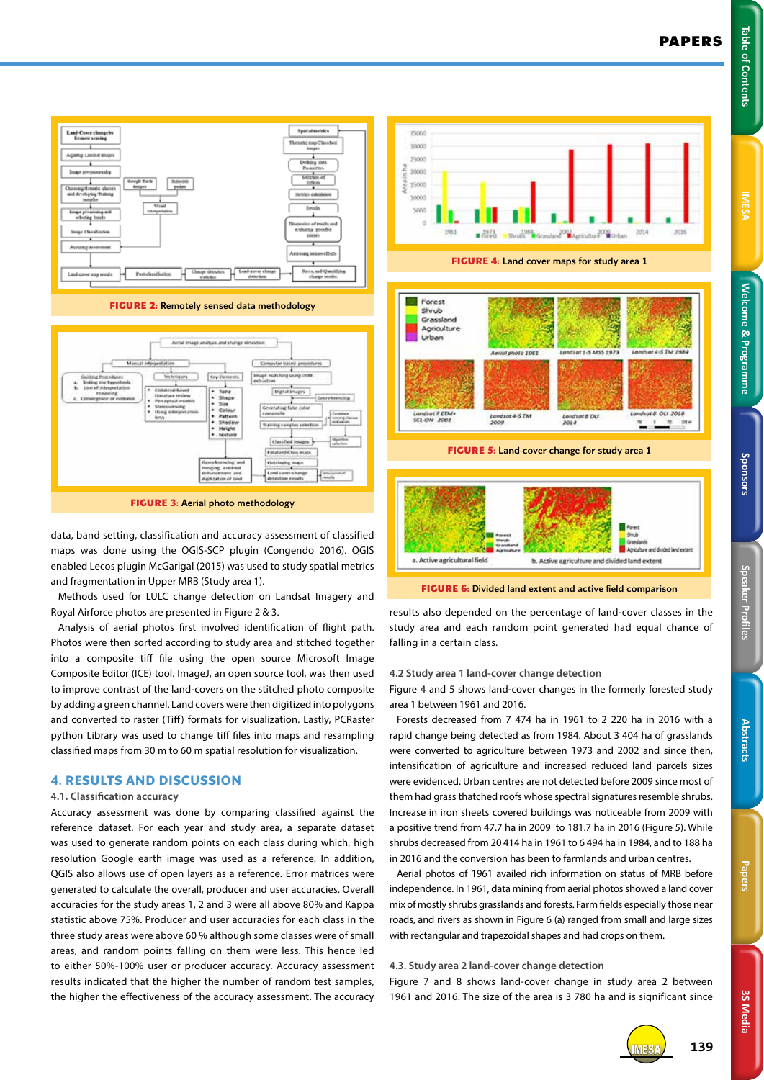Sponsors



Land-Cover changels<br>Emmes sening Spatalmetrics ise sessorathets Land cover may result **FIGURE 2:** Remotely sensed data methodology

**FIGURE 3:** Aerial photo methodology

data, band setting, classification and accuracy assessment of classified maps was done using the QGIS-SCP plugin (Congendo 2016). QGIS enabled Lecos plugin McGarigal (2015) was used to study spatial metrics and fragmentation in Upper MRB (Study area 1).

Methods used for LULC change detection on Landsat Imagery and Royal Airforce photos are presented in Figure 2 & 3.

Analysis of aerial photos first involved identification of flight path. Photos were then sorted according to study area and stitched together into a composite tiff file using the open source Microsoft Image Composite Editor (ICE) tool. ImageJ, an open source tool, was then used to improve contrast of the land-covers on the stitched photo composite by adding a green channel. Land covers were then digitized into polygons and converted to raster (Tiff) formats for visualization. Lastly, PCRaster python Library was used to change tiff files into maps and resampling classified maps from 30 m to 60 m spatial resolution for visualization.

# **4. RESULTS AND DISCUSSION**

#### **4.1. Classification accuracy**

Accuracy assessment was done by comparing classified against the reference dataset. For each year and study area, a separate dataset was used to generate random points on each class during which, high resolution Google earth image was used as a reference. In addition, QGIS also allows use of open layers as a reference. Error matrices were generated to calculate the overall, producer and user accuracies. Overall accuracies for the study areas 1, 2 and 3 were all above 80% and Kappa statistic above 75%. Producer and user accuracies for each class in the three study areas were above 60 % although some classes were of small areas, and random points falling on them were less. This hence led to either 50%-100% user or producer accuracy. Accuracy assessment results indicated that the higher the number of random test samples, the higher the effectiveness of the accuracy assessment. The accuracy



results also depended on the percentage of land-cover classes in the study area and each random point generated had equal chance of falling in a certain class.

## **4.2 Study area 1 land-cover change detection**

Figure 4 and 5 shows land-cover changes in the formerly forested study area 1 between 1961 and 2016.

Forests decreased from 7 474 ha in 1961 to 2 220 ha in 2016 with a rapid change being detected as from 1984. About 3 404 ha of grasslands were converted to agriculture between 1973 and 2002 and since then, intensification of agriculture and increased reduced land parcels sizes were evidenced. Urban centres are not detected before 2009 since most of them had grass thatched roofs whose spectral signatures resemble shrubs. Increase in iron sheets covered buildings was noticeable from 2009 with a positive trend from 47.7 ha in 2009 to 181.7 ha in 2016 (Figure 5). While shrubs decreased from 20 414 ha in 1961 to 6 494 ha in 1984, and to 188 ha in 2016 and the conversion has been to farmlands and urban centres.

Aerial photos of 1961 availed rich information on status of MRB before independence. In 1961, data mining from aerial photos showed a land cover mix of mostly shrubs grasslands and forests. Farm fields especially those near roads, and rivers as shown in Figure 6 (a) ranged from small and large sizes with rectangular and trapezoidal shapes and had crops on them.

#### **4.3. Study area 2 land-cover change detection**

Figure 7 and 8 shows land-cover change in study area 2 between 1961 and 2016. The size of the area is 3 780 ha and is significant since



IMESA **139**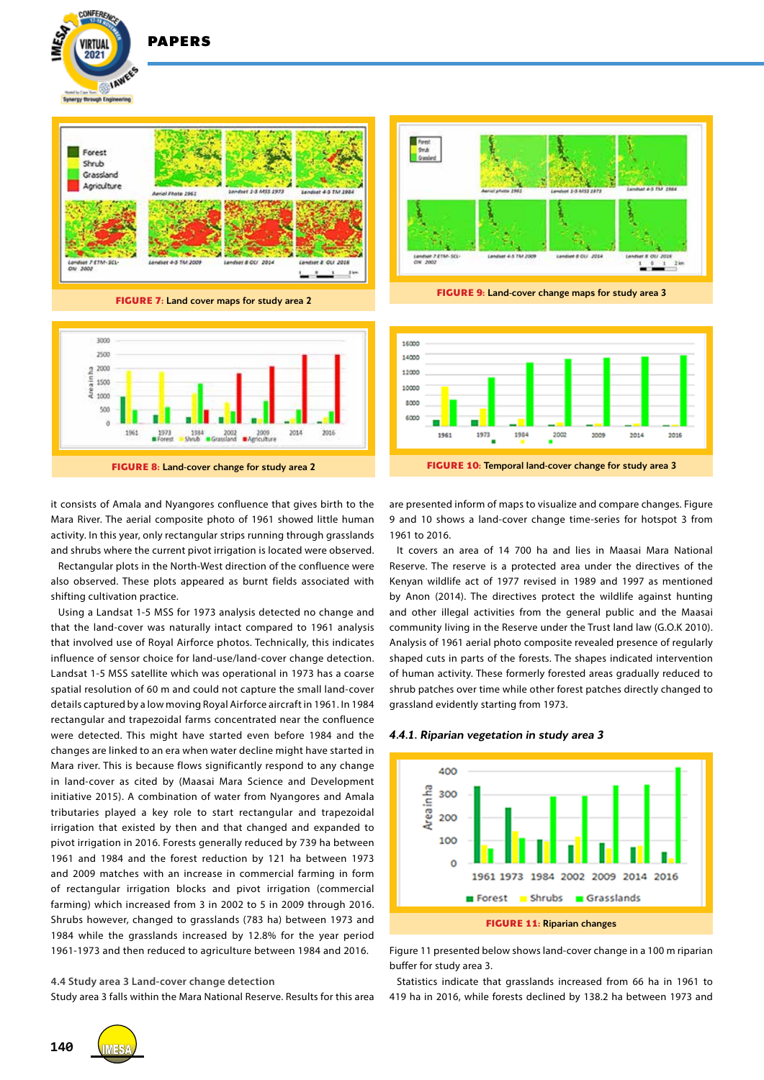

PAPERS

**CONFEREN** 

VIRTIJA  $2021$ 

**FIGURE 7:** Land cover maps for study area 2



it consists of Amala and Nyangores confluence that gives birth to the Mara River. The aerial composite photo of 1961 showed little human activity. In this year, only rectangular strips running through grasslands and shrubs where the current pivot irrigation is located were observed.

Rectangular plots in the North-West direction of the confluence were also observed. These plots appeared as burnt fields associated with shifting cultivation practice.

Using a Landsat 1-5 MSS for 1973 analysis detected no change and that the land-cover was naturally intact compared to 1961 analysis that involved use of Royal Airforce photos. Technically, this indicates influence of sensor choice for land-use/land-cover change detection. Landsat 1-5 MSS satellite which was operational in 1973 has a coarse spatial resolution of 60 m and could not capture the small land-cover details captured by a low moving Royal Airforce aircraft in 1961. In 1984 rectangular and trapezoidal farms concentrated near the confluence were detected. This might have started even before 1984 and the changes are linked to an era when water decline might have started in Mara river. This is because flows significantly respond to any change in land-cover as cited by (Maasai Mara Science and Development initiative 2015). A combination of water from Nyangores and Amala tributaries played a key role to start rectangular and trapezoidal irrigation that existed by then and that changed and expanded to pivot irrigation in 2016. Forests generally reduced by 739 ha between 1961 and 1984 and the forest reduction by 121 ha between 1973 and 2009 matches with an increase in commercial farming in form of rectangular irrigation blocks and pivot irrigation (commercial farming) which increased from 3 in 2002 to 5 in 2009 through 2016. Shrubs however, changed to grasslands (783 ha) between 1973 and 1984 while the grasslands increased by 12.8% for the year period 1961-1973 and then reduced to agriculture between 1984 and 2016.

#### **4.4 Study area 3 Land-cover change detection**

Study area 3 falls within the Mara National Reserve. Results for this area



**FIGURE 9:** Land-cover change maps for study area 3



are presented inform of maps to visualize and compare changes. Figure 9 and 10 shows a land-cover change time-series for hotspot 3 from 1961 to 2016.

It covers an area of 14 700 ha and lies in Maasai Mara National Reserve. The reserve is a protected area under the directives of the Kenyan wildlife act of 1977 revised in 1989 and 1997 as mentioned by Anon (2014). The directives protect the wildlife against hunting and other illegal activities from the general public and the Maasai community living in the Reserve under the Trust land law (G.O.K 2010). Analysis of 1961 aerial photo composite revealed presence of regularly shaped cuts in parts of the forests. The shapes indicated intervention of human activity. These formerly forested areas gradually reduced to shrub patches over time while other forest patches directly changed to grassland evidently starting from 1973.

*4.4.1. Riparian vegetation in study area 3*



Figure 11 presented below shows land-cover change in a 100 m riparian buffer for study area 3.

Statistics indicate that grasslands increased from 66 ha in 1961 to 419 ha in 2016, while forests declined by 138.2 ha between 1973 and

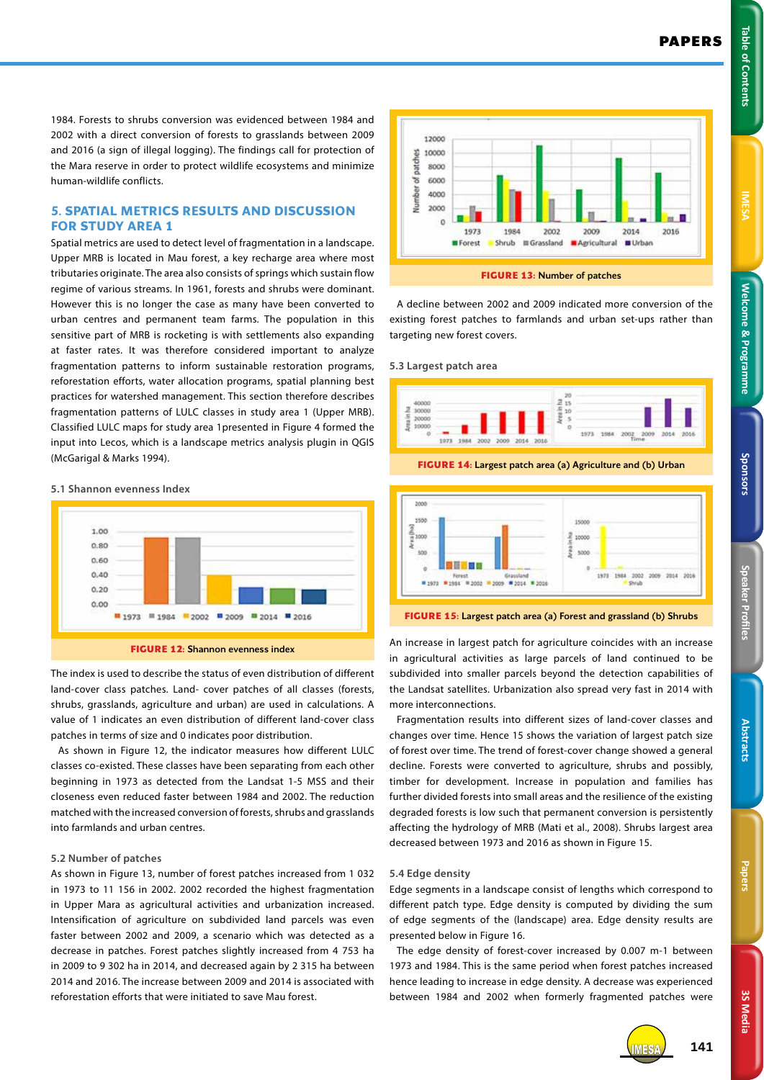**Welcome & Programme Table of Contents IMESA Welcome & Programme** 

1984. Forests to shrubs conversion was evidenced between 1984 and 2002 with a direct conversion of forests to grasslands between 2009 and 2016 (a sign of illegal logging). The findings call for protection of the Mara reserve in order to protect wildlife ecosystems and minimize human-wildlife conflicts.

# **5. SPATIAL METRICS RESULTS AND DISCUSSION FOR STUDY AREA 1**

Spatial metrics are used to detect level of fragmentation in a landscape. Upper MRB is located in Mau forest, a key recharge area where most tributaries originate. The area also consists of springs which sustain flow regime of various streams. In 1961, forests and shrubs were dominant. However this is no longer the case as many have been converted to urban centres and permanent team farms. The population in this sensitive part of MRB is rocketing is with settlements also expanding at faster rates. It was therefore considered important to analyze fragmentation patterns to inform sustainable restoration programs, reforestation efforts, water allocation programs, spatial planning best practices for watershed management. This section therefore describes fragmentation patterns of LULC classes in study area 1 (Upper MRB). Classified LULC maps for study area 1presented in Figure 4 formed the input into Lecos, which is a landscape metrics analysis plugin in QGIS (McGarigal & Marks 1994).

#### **5.1 Shannon evenness Index**



The index is used to describe the status of even distribution of different land-cover class patches. Land- cover patches of all classes (forests, shrubs, grasslands, agriculture and urban) are used in calculations. A value of 1 indicates an even distribution of different land-cover class patches in terms of size and 0 indicates poor distribution.

As shown in Figure 12, the indicator measures how different LULC classes co-existed. These classes have been separating from each other beginning in 1973 as detected from the Landsat 1-5 MSS and their closeness even reduced faster between 1984 and 2002. The reduction matched with the increased conversion of forests, shrubs and grasslands into farmlands and urban centres.

#### **5.2 Number of patches**

As shown in Figure 13, number of forest patches increased from 1 032 in 1973 to 11 156 in 2002. 2002 recorded the highest fragmentation in Upper Mara as agricultural activities and urbanization increased. Intensification of agriculture on subdivided land parcels was even faster between 2002 and 2009, a scenario which was detected as a decrease in patches. Forest patches slightly increased from 4 753 ha in 2009 to 9 302 ha in 2014, and decreased again by 2 315 ha between 2014 and 2016. The increase between 2009 and 2014 is associated with reforestation efforts that were initiated to save Mau forest.





A decline between 2002 and 2009 indicated more conversion of the existing forest patches to farmlands and urban set-ups rather than targeting new forest covers.

**5.3 Largest patch area**







**FIGURE 15:** Largest patch area (a) Forest and grassland (b) Shrubs

An increase in largest patch for agriculture coincides with an increase in agricultural activities as large parcels of land continued to be subdivided into smaller parcels beyond the detection capabilities of the Landsat satellites. Urbanization also spread very fast in 2014 with more interconnections.

Fragmentation results into different sizes of land-cover classes and changes over time. Hence 15 shows the variation of largest patch size of forest over time. The trend of forest-cover change showed a general decline. Forests were converted to agriculture, shrubs and possibly, timber for development. Increase in population and families has further divided forests into small areas and the resilience of the existing degraded forests is low such that permanent conversion is persistently affecting the hydrology of MRB (Mati et al., 2008). Shrubs largest area decreased between 1973 and 2016 as shown in Figure 15.

#### **5.4 Edge density**

Edge segments in a landscape consist of lengths which correspond to different patch type. Edge density is computed by dividing the sum of edge segments of the (landscape) area. Edge density results are presented below in Figure 16.

The edge density of forest-cover increased by 0.007 m-1 between 1973 and 1984. This is the same period when forest patches increased hence leading to increase in edge density. A decrease was experienced between 1984 and 2002 when formerly fragmented patches were



**3S Media**

3S Media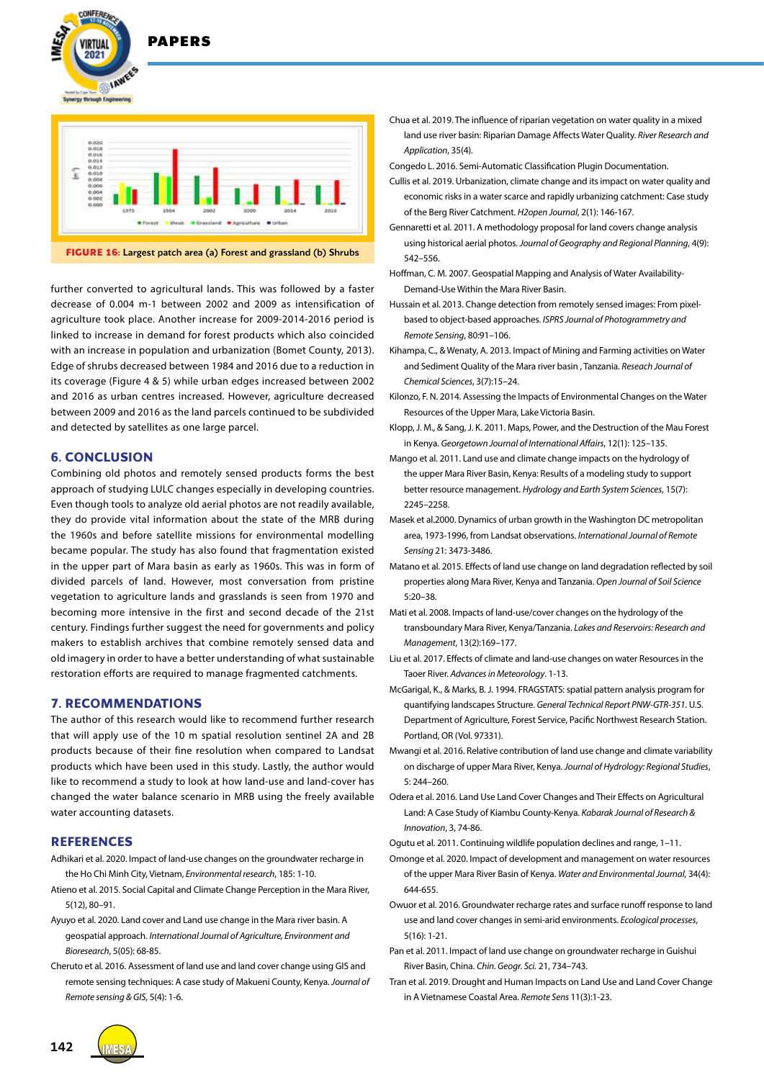



further converted to agricultural lands. This was followed by a faster decrease of 0.004 m-1 between 2002 and 2009 as intensification of agriculture took place. Another increase for 2009-2014-2016 period is linked to increase in demand for forest products which also coincided with an increase in population and urbanization (Bomet County, 2013). Edge of shrubs decreased between 1984 and 2016 due to a reduction in its coverage (Figure 4 & 5) while urban edges increased between 2002 and 2016 as urban centres increased. However, agriculture decreased between 2009 and 2016 as the land parcels continued to be subdivided and detected by satellites as one large parcel.

# **6. CONCLUSION**

Combining old photos and remotely sensed products forms the best approach of studying LULC changes especially in developing countries. Even though tools to analyze old aerial photos are not readily available, they do provide vital information about the state of the MRB during the 1960s and before satellite missions for environmental modelling became popular. The study has also found that fragmentation existed in the upper part of Mara basin as early as 1960s. This was in form of divided parcels of land. However, most conversation from pristine vegetation to agriculture lands and grasslands is seen from 1970 and becoming more intensive in the first and second decade of the 21st century. Findings further suggest the need for governments and policy makers to establish archives that combine remotely sensed data and old imagery in order to have a better understanding of what sustainable restoration efforts are required to manage fragmented catchments.

## **7. RECOMMENDATIONS**

The author of this research would like to recommend further research that will apply use of the 10 m spatial resolution sentinel 2A and 2B products because of their fine resolution when compared to Landsat products which have been used in this study. Lastly, the author would like to recommend a study to look at how land-use and land-cover has changed the water balance scenario in MRB using the freely available water accounting datasets.

#### **REFERENCES**

- Adhikari et al. 2020. Impact of land-use changes on the groundwater recharge in the Ho Chi Minh City, Vietnam, *Environmental research*, 185: 1-10.
- Atieno et al. 2015. Social Capital and Climate Change Perception in the Mara River, 5(12), 80–91.
- Ayuyo et al. 2020. Land cover and Land use change in the Mara river basin. A geospatial approach. *International Journal of Agriculture, Environment and Bioresearch*, 5(05): 68-85.
- Cheruto et al. 2016. Assessment of land use and land cover change using GIS and remote sensing techniques: A case study of Makueni County, Kenya. *Journal of Remote sensing & GIS*, 5(4): 1-6.
- Chua et al. 2019. The influence of riparian vegetation on water quality in a mixed land use river basin: Riparian Damage Affects Water Quality. *River Research and Application*, 35(4).
- Congedo L. 2016. Semi-Automatic Classification Plugin Documentation.
- Cullis et al. 2019. Urbanization, climate change and its impact on water quality and economic risks in a water scarce and rapidly urbanizing catchment: Case study of the Berg River Catchment. *H2open Journal*, 2(1): 146-167.
- Gennaretti et al. 2011. A methodology proposal for land covers change analysis using historical aerial photos. *Journal of Geography and Regional Planning*, 4(9): 542–556.
- Hoffman, C. M. 2007. Geospatial Mapping and Analysis of Water Availability-Demand-Use Within the Mara River Basin.
- Hussain et al. 2013. Change detection from remotely sensed images: From pixelbased to object-based approaches. *ISPRS Journal of Photogrammetry and Remote Sensing*, 80:91–106.
- Kihampa, C., & Wenaty, A. 2013. Impact of Mining and Farming activities on Water and Sediment Quality of the Mara river basin , Tanzania. *Reseach Journal of Chemical Sciences*, 3(7):15–24.
- Kilonzo, F. N. 2014. Assessing the Impacts of Environmental Changes on the Water Resources of the Upper Mara, Lake Victoria Basin.
- Klopp, J. M., & Sang, J. K. 2011. Maps, Power, and the Destruction of the Mau Forest in Kenya. *Georgetown Journal of International Affairs*, 12(1): 125–135.
- Mango et al. 2011. Land use and climate change impacts on the hydrology of the upper Mara River Basin, Kenya: Results of a modeling study to support better resource management. *Hydrology and Earth System Sciences*, 15(7): 2245–2258.
- Masek et al.2000. Dynamics of urban growth in the Washington DC metropolitan area, 1973-1996, from Landsat observations. *International Journal of Remote Sensing* 21: 3473-3486.
- Matano et al. 2015. Effects of land use change on land degradation reflected by soil properties along Mara River, Kenya and Tanzania. *Open Journal of Soil Science*  5:20–38.
- Mati et al. 2008. Impacts of land-use/cover changes on the hydrology of the transboundary Mara River, Kenya/Tanzania. *Lakes and Reservoirs: Research and Management*, 13(2):169–177.
- Liu et al. 2017. Effects of climate and land-use changes on water Resources in the Taoer River. *Advances in Meteorology*. 1-13.
- McGarigal, K., & Marks, B. J. 1994. FRAGSTATS: spatial pattern analysis program for quantifying landscapes Structure. *General Technical Report PNW-GTR-351*. U.S. Department of Agriculture, Forest Service, Pacific Northwest Research Station. Portland, OR (Vol. 97331).
- Mwangi et al. 2016. Relative contribution of land use change and climate variability on discharge of upper Mara River, Kenya. *Journal of Hydrology: Regional Studies*, 5: 244–260.
- Odera et al. 2016. Land Use Land Cover Changes and Their Effects on Agricultural Land: A Case Study of Kiambu County-Kenya. *Kabarak Journal of Research & Innovation*, 3, 74-86.
- Ogutu et al. 2011. Continuing wildlife population declines and range, 1–11.
- Omonge et al. 2020. Impact of development and management on water resources of the upper Mara River Basin of Kenya. *Water and Environmental Journal*, 34(4): 644-655.
- Owuor et al. 2016. Groundwater recharge rates and surface runoff response to land use and land cover changes in semi-arid environments. *Ecological processes*, 5(16): 1-21.
- Pan et al. 2011. Impact of land use change on groundwater recharge in Guishui River Basin, China. *Chin. Geogr. Sci.* 21, 734–743.
- Tran et al. 2019. Drought and Human Impacts on Land Use and Land Cover Change in A Vietnamese Coastal Area. *Remote Sens* 11(3):1-23.